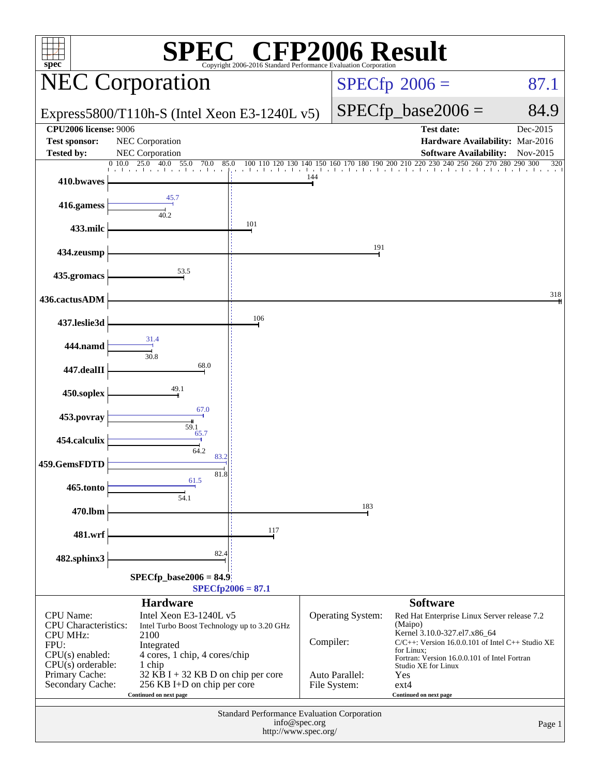| $spec^*$                                                                                                                                                     |                                                                                                                                                                                                                                         | C® CFP2006 Result<br>Copyright 2006-2016 Standard Performance Ey    |                      |                                                            |                                                                                                                                                                                                                                                                              |                      |
|--------------------------------------------------------------------------------------------------------------------------------------------------------------|-----------------------------------------------------------------------------------------------------------------------------------------------------------------------------------------------------------------------------------------|---------------------------------------------------------------------|----------------------|------------------------------------------------------------|------------------------------------------------------------------------------------------------------------------------------------------------------------------------------------------------------------------------------------------------------------------------------|----------------------|
|                                                                                                                                                              | <b>NEC Corporation</b>                                                                                                                                                                                                                  |                                                                     |                      |                                                            | $SPECfp^{\circ}2006 =$                                                                                                                                                                                                                                                       | 87.1                 |
|                                                                                                                                                              | Express5800/T110h-S (Intel Xeon E3-1240L $v5$ )                                                                                                                                                                                         |                                                                     | $SPECfp\_base2006 =$ | 84.9                                                       |                                                                                                                                                                                                                                                                              |                      |
| <b>CPU2006 license: 9006</b><br><b>Test sponsor:</b><br><b>Tested by:</b>                                                                                    | NEC Corporation<br>NEC Corporation                                                                                                                                                                                                      |                                                                     |                      |                                                            | <b>Test date:</b><br>Hardware Availability: Mar-2016<br><b>Software Availability:</b>                                                                                                                                                                                        | Dec-2015<br>Nov-2015 |
| 410.bwaves                                                                                                                                                   | 0.10.0<br>25.0<br>55.0<br>40.0<br>70.0<br>85.0                                                                                                                                                                                          | 100 110<br>120 130                                                  | 140 150<br>144       | 160                                                        | 170 180 190 200 210 220 230 240 250 260 270 280 290 300                                                                                                                                                                                                                      | 320                  |
| 416.gamess                                                                                                                                                   | 45.7                                                                                                                                                                                                                                    |                                                                     |                      |                                                            |                                                                                                                                                                                                                                                                              |                      |
| 433.milc                                                                                                                                                     | 40.2                                                                                                                                                                                                                                    | 101                                                                 |                      |                                                            |                                                                                                                                                                                                                                                                              |                      |
| 434.zeusmp                                                                                                                                                   |                                                                                                                                                                                                                                         |                                                                     |                      | 191                                                        |                                                                                                                                                                                                                                                                              |                      |
| 435.gromacs                                                                                                                                                  | 53.5                                                                                                                                                                                                                                    |                                                                     |                      |                                                            |                                                                                                                                                                                                                                                                              |                      |
| 436.cactusADM                                                                                                                                                |                                                                                                                                                                                                                                         |                                                                     |                      |                                                            |                                                                                                                                                                                                                                                                              | 318                  |
| 437.leslie3d                                                                                                                                                 | 31.4                                                                                                                                                                                                                                    | 106                                                                 |                      |                                                            |                                                                                                                                                                                                                                                                              |                      |
| 444.namd<br>447.dealII                                                                                                                                       | 30.8<br>68.0                                                                                                                                                                                                                            |                                                                     |                      |                                                            |                                                                                                                                                                                                                                                                              |                      |
| 450.soplex                                                                                                                                                   | 49.1                                                                                                                                                                                                                                    |                                                                     |                      |                                                            |                                                                                                                                                                                                                                                                              |                      |
| 453.povray                                                                                                                                                   | 67.0                                                                                                                                                                                                                                    |                                                                     |                      |                                                            |                                                                                                                                                                                                                                                                              |                      |
| 454.calculix                                                                                                                                                 | 59.1<br>65.7<br>64.2                                                                                                                                                                                                                    |                                                                     |                      |                                                            |                                                                                                                                                                                                                                                                              |                      |
| 459.GemsFDTD                                                                                                                                                 | 83.2<br>81.8                                                                                                                                                                                                                            |                                                                     |                      |                                                            |                                                                                                                                                                                                                                                                              |                      |
| 465.tonto                                                                                                                                                    | 61.5<br>54.1                                                                                                                                                                                                                            |                                                                     |                      | 183                                                        |                                                                                                                                                                                                                                                                              |                      |
| 470.lbm                                                                                                                                                      |                                                                                                                                                                                                                                         | 117                                                                 |                      |                                                            |                                                                                                                                                                                                                                                                              |                      |
| 481.wrf<br>482.sphinx3                                                                                                                                       | 82.4                                                                                                                                                                                                                                    |                                                                     |                      |                                                            |                                                                                                                                                                                                                                                                              |                      |
|                                                                                                                                                              | $SPECfp\_base2006 = 84.9$                                                                                                                                                                                                               | $SPECfp2006 = 87.1$                                                 |                      |                                                            |                                                                                                                                                                                                                                                                              |                      |
|                                                                                                                                                              | <b>Hardware</b>                                                                                                                                                                                                                         |                                                                     |                      |                                                            | <b>Software</b>                                                                                                                                                                                                                                                              |                      |
| <b>CPU</b> Name:<br><b>CPU</b> Characteristics:<br><b>CPU MHz:</b><br>FPU:<br>$CPU(s)$ enabled:<br>$CPU(s)$ orderable:<br>Primary Cache:<br>Secondary Cache: | Intel Xeon E3-1240L v5<br>Intel Turbo Boost Technology up to 3.20 GHz<br>2100<br>Integrated<br>4 cores, 1 chip, 4 cores/chip<br>1 chip<br>$32$ KB I + 32 KB D on chip per core<br>256 KB I+D on chip per core<br>Continued on next page |                                                                     | Compiler:            | <b>Operating System:</b><br>Auto Parallel:<br>File System: | Red Hat Enterprise Linux Server release 7.2<br>(Maipo)<br>Kernel 3.10.0-327.el7.x86_64<br>C/C++: Version 16.0.0.101 of Intel C++ Studio XE<br>for Linux;<br>Fortran: Version 16.0.0.101 of Intel Fortran<br>Studio XE for Linux<br>Yes<br>$ext{4}$<br>Continued on next page |                      |
|                                                                                                                                                              |                                                                                                                                                                                                                                         | Standard Performance Evaluation Corporation<br>http://www.spec.org/ | info@spec.org        |                                                            |                                                                                                                                                                                                                                                                              | Page 1               |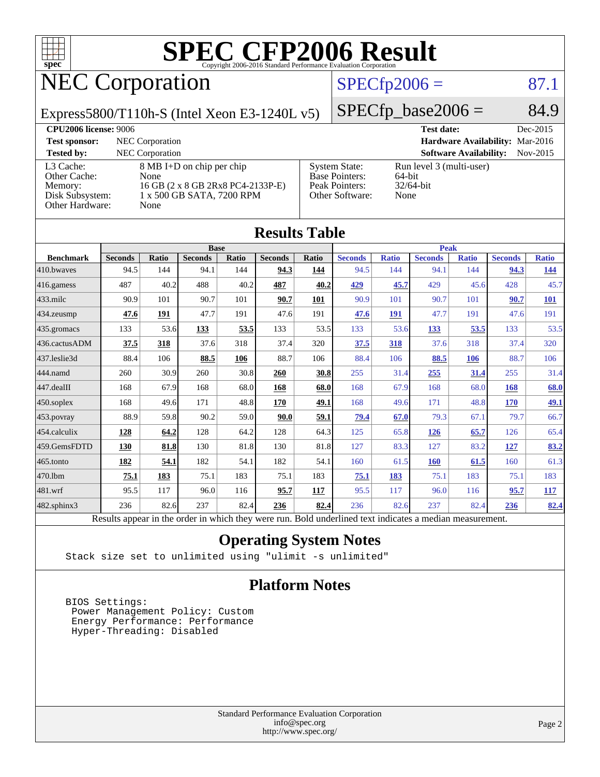

### NEC Corporation

### $SPECfp2006 = 87.1$  $SPECfp2006 = 87.1$

Express5800/T110h-S (Intel Xeon E3-1240L v5)

 $SPECTp\_base2006 = 84.9$ 

| <b>CPU2006 license: 9006</b>                                               |                                                                                                             |                                                                             | <b>Test date:</b>                                          | Dec-2015   |
|----------------------------------------------------------------------------|-------------------------------------------------------------------------------------------------------------|-----------------------------------------------------------------------------|------------------------------------------------------------|------------|
| <b>Test sponsor:</b>                                                       | NEC Corporation                                                                                             |                                                                             | Hardware Availability: Mar-2016                            |            |
| <b>Tested by:</b>                                                          | <b>NEC</b> Corporation                                                                                      |                                                                             | <b>Software Availability:</b>                              | $Nov-2015$ |
| L3 Cache:<br>Other Cache:<br>Memory:<br>Disk Subsystem:<br>Other Hardware: | 8 MB I+D on chip per chip<br>None<br>16 GB (2 x 8 GB 2Rx8 PC4-2133P-E)<br>1 x 500 GB SATA, 7200 RPM<br>None | System State:<br><b>Base Pointers:</b><br>Peak Pointers:<br>Other Software: | Run level 3 (multi-user)<br>64-bit<br>$32/64$ -bit<br>None |            |

| <b>Results Table</b> |                                                                                                          |       |                |       |                |              |                |              |                |              |                |              |
|----------------------|----------------------------------------------------------------------------------------------------------|-------|----------------|-------|----------------|--------------|----------------|--------------|----------------|--------------|----------------|--------------|
|                      | <b>Base</b>                                                                                              |       |                |       | <b>Peak</b>    |              |                |              |                |              |                |              |
| <b>Benchmark</b>     | <b>Seconds</b>                                                                                           | Ratio | <b>Seconds</b> | Ratio | <b>Seconds</b> | <b>Ratio</b> | <b>Seconds</b> | <b>Ratio</b> | <b>Seconds</b> | <b>Ratio</b> | <b>Seconds</b> | <b>Ratio</b> |
| 410.bwayes           | 94.5                                                                                                     | 144   | 94.1           | 144   | 94.3           | 144          | 94.5           | 144          | 94.1           | 144          | 94.3           | <u>144</u>   |
| 416.gamess           | 487                                                                                                      | 40.2  | 488            | 40.2  | 487            | 40.2         | 429            | 45.7         | 429            | 45.6         | 428            | 45.7         |
| $433$ .milc          | 90.9                                                                                                     | 101   | 90.7           | 101   | 90.7           | 101          | 90.9           | 101          | 90.7           | 101          | 90.7           | 101          |
| 434.zeusmp           | 47.6                                                                                                     | 191   | 47.7           | 191   | 47.6           | 191          | 47.6           | 191          | 47.7           | 191          | 47.6           | 191          |
| 435.gromacs          | 133                                                                                                      | 53.6  | 133            | 53.5  | 133            | 53.5         | 133            | 53.6         | 133            | 53.5         | 133            | 53.5         |
| 436.cactusADM        | 37.5                                                                                                     | 318   | 37.6           | 318   | 37.4           | 320          | 37.5           | 318          | 37.6           | 318          | 37.4           | 320          |
| 437.leslie3d         | 88.4                                                                                                     | 106   | 88.5           | 106   | 88.7           | 106          | 88.4           | 106          | 88.5           | 106          | 88.7           | 106          |
| 444.namd             | 260                                                                                                      | 30.9  | 260            | 30.8  | 260            | 30.8         | 255            | 31.4         | 255            | 31.4         | 255            | 31.4         |
| 447.dealII           | 168                                                                                                      | 67.9  | 168            | 68.0  | 168            | 68.0         | 168            | 67.9         | 168            | 68.0         | 168            | 68.0         |
| 450.soplex           | 168                                                                                                      | 49.6  | 171            | 48.8  | 170            | 49.1         | 168            | 49.6         | 171            | 48.8         | 170            | <u>49.1</u>  |
| 453.povray           | 88.9                                                                                                     | 59.8  | 90.2           | 59.0  | 90.0           | 59.1         | 79.4           | 67.0         | 79.3           | 67.1         | 79.7           | 66.7         |
| 454.calculix         | 128                                                                                                      | 64.2  | 128            | 64.2  | 128            | 64.3         | 125            | 65.8         | 126            | 65.7         | 126            | 65.4         |
| 459.GemsFDTD         | 130                                                                                                      | 81.8  | 130            | 81.8  | 130            | 81.8         | 127            | 83.3         | 127            | 83.2         | 127            | 83.2         |
| 465.tonto            | 182                                                                                                      | 54.1  | 182            | 54.1  | 182            | 54.1         | 160            | 61.5         | <b>160</b>     | 61.5         | 160            | 61.3         |
| 470.1bm              | 75.1                                                                                                     | 183   | 75.1           | 183   | 75.1           | 183          | 75.1           | 183          | 75.1           | 183          | 75.1           | 183          |
| 481.wrf              | 95.5                                                                                                     | 117   | 96.0           | 116   | 95.7           | 117          | 95.5           | 117          | 96.0           | 116          | 95.7           | <b>117</b>   |
| 482.sphinx3          | 236                                                                                                      | 82.6  | 237            | 82.4  | 236            | 82.4         | 236            | 82.6         | 237            | 82.4         | 236            | 82.4         |
|                      | Results appear in the order in which they were run. Bold underlined text indicates a median measurement. |       |                |       |                |              |                |              |                |              |                |              |

#### **[Operating System Notes](http://www.spec.org/auto/cpu2006/Docs/result-fields.html#OperatingSystemNotes)**

Stack size set to unlimited using "ulimit -s unlimited"

### **[Platform Notes](http://www.spec.org/auto/cpu2006/Docs/result-fields.html#PlatformNotes)**

 BIOS Settings: Power Management Policy: Custom Energy Performance: Performance Hyper-Threading: Disabled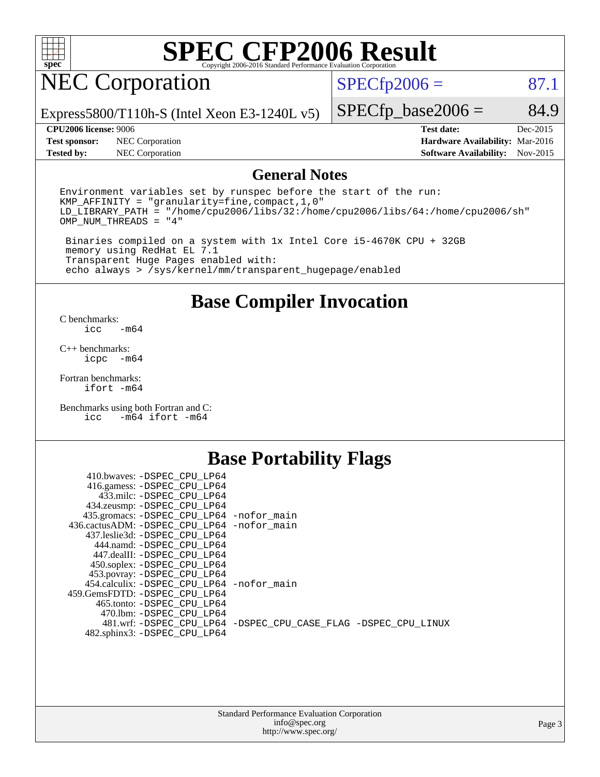

### NEC Corporation

 $SPECTp2006 = 87.1$ 

Express5800/T110h-S (Intel Xeon E3-1240L v5)

#### **[CPU2006 license:](http://www.spec.org/auto/cpu2006/Docs/result-fields.html#CPU2006license)** 9006 **[Test date:](http://www.spec.org/auto/cpu2006/Docs/result-fields.html#Testdate)** Dec-2015

 $SPECfp\_base2006 = 84.9$ 

**[Test sponsor:](http://www.spec.org/auto/cpu2006/Docs/result-fields.html#Testsponsor)** NEC Corporation **[Hardware Availability:](http://www.spec.org/auto/cpu2006/Docs/result-fields.html#HardwareAvailability)** Mar-2016 **[Tested by:](http://www.spec.org/auto/cpu2006/Docs/result-fields.html#Testedby)** NEC Corporation **[Software Availability:](http://www.spec.org/auto/cpu2006/Docs/result-fields.html#SoftwareAvailability)** Nov-2015

### **[General Notes](http://www.spec.org/auto/cpu2006/Docs/result-fields.html#GeneralNotes)**

Environment variables set by runspec before the start of the run: KMP\_AFFINITY = "granularity=fine,compact,1,0" LD\_LIBRARY\_PATH = "/home/cpu2006/libs/32:/home/cpu2006/libs/64:/home/cpu2006/sh" OMP\_NUM\_THREADS = "4"

 Binaries compiled on a system with 1x Intel Core i5-4670K CPU + 32GB memory using RedHat EL 7.1 Transparent Huge Pages enabled with: echo always > /sys/kernel/mm/transparent\_hugepage/enabled

### **[Base Compiler Invocation](http://www.spec.org/auto/cpu2006/Docs/result-fields.html#BaseCompilerInvocation)**

[C benchmarks](http://www.spec.org/auto/cpu2006/Docs/result-fields.html#Cbenchmarks):  $-m64$ 

[C++ benchmarks:](http://www.spec.org/auto/cpu2006/Docs/result-fields.html#CXXbenchmarks) [icpc -m64](http://www.spec.org/cpu2006/results/res2016q1/cpu2006-20160125-38934.flags.html#user_CXXbase_intel_icpc_64bit_bedb90c1146cab66620883ef4f41a67e)

[Fortran benchmarks](http://www.spec.org/auto/cpu2006/Docs/result-fields.html#Fortranbenchmarks): [ifort -m64](http://www.spec.org/cpu2006/results/res2016q1/cpu2006-20160125-38934.flags.html#user_FCbase_intel_ifort_64bit_ee9d0fb25645d0210d97eb0527dcc06e)

[Benchmarks using both Fortran and C](http://www.spec.org/auto/cpu2006/Docs/result-fields.html#BenchmarksusingbothFortranandC): [icc -m64](http://www.spec.org/cpu2006/results/res2016q1/cpu2006-20160125-38934.flags.html#user_CC_FCbase_intel_icc_64bit_0b7121f5ab7cfabee23d88897260401c) [ifort -m64](http://www.spec.org/cpu2006/results/res2016q1/cpu2006-20160125-38934.flags.html#user_CC_FCbase_intel_ifort_64bit_ee9d0fb25645d0210d97eb0527dcc06e)

### **[Base Portability Flags](http://www.spec.org/auto/cpu2006/Docs/result-fields.html#BasePortabilityFlags)**

| 410.bwaves: -DSPEC CPU LP64                 |                                                                |
|---------------------------------------------|----------------------------------------------------------------|
| 416.gamess: -DSPEC_CPU_LP64                 |                                                                |
| 433.milc: -DSPEC CPU LP64                   |                                                                |
| 434.zeusmp: -DSPEC_CPU_LP64                 |                                                                |
| 435.gromacs: -DSPEC_CPU_LP64 -nofor_main    |                                                                |
| 436.cactusADM: -DSPEC CPU LP64 -nofor main  |                                                                |
| 437.leslie3d: -DSPEC CPU LP64               |                                                                |
| 444.namd: -DSPEC CPU LP64                   |                                                                |
| 447.dealII: -DSPEC CPU LP64                 |                                                                |
| 450.soplex: -DSPEC_CPU_LP64                 |                                                                |
| 453.povray: -DSPEC_CPU_LP64                 |                                                                |
| 454.calculix: - DSPEC CPU LP64 - nofor main |                                                                |
| 459. GemsFDTD: - DSPEC CPU LP64             |                                                                |
| 465.tonto: - DSPEC CPU LP64                 |                                                                |
| 470.1bm: - DSPEC CPU LP64                   |                                                                |
|                                             | 481.wrf: -DSPEC_CPU_LP64 -DSPEC_CPU_CASE_FLAG -DSPEC_CPU_LINUX |
| 482.sphinx3: -DSPEC_CPU_LP64                |                                                                |
|                                             |                                                                |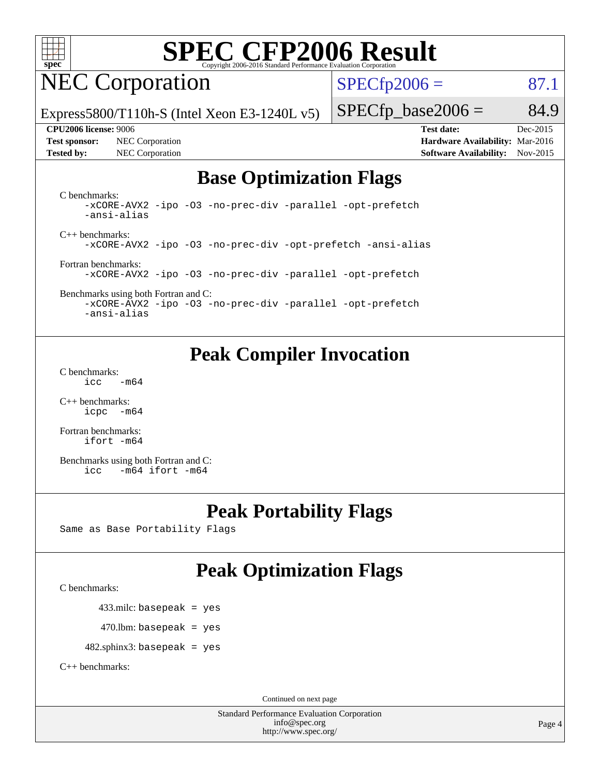

### NEC Corporation

 $SPECTp2006 = 87.1$ 

Express5800/T110h-S (Intel Xeon E3-1240L v5)

#### **[CPU2006 license:](http://www.spec.org/auto/cpu2006/Docs/result-fields.html#CPU2006license)** 9006 **[Test date:](http://www.spec.org/auto/cpu2006/Docs/result-fields.html#Testdate)** Dec-2015

**[Test sponsor:](http://www.spec.org/auto/cpu2006/Docs/result-fields.html#Testsponsor)** NEC Corporation **[Hardware Availability:](http://www.spec.org/auto/cpu2006/Docs/result-fields.html#HardwareAvailability)** Mar-2016

 $SPECfp\_base2006 = 84.9$ 

**[Tested by:](http://www.spec.org/auto/cpu2006/Docs/result-fields.html#Testedby)** NEC Corporation **[Software Availability:](http://www.spec.org/auto/cpu2006/Docs/result-fields.html#SoftwareAvailability)** Nov-2015

### **[Base Optimization Flags](http://www.spec.org/auto/cpu2006/Docs/result-fields.html#BaseOptimizationFlags)**

[C benchmarks](http://www.spec.org/auto/cpu2006/Docs/result-fields.html#Cbenchmarks): [-xCORE-AVX2](http://www.spec.org/cpu2006/results/res2016q1/cpu2006-20160125-38934.flags.html#user_CCbase_f-xAVX2_5f5fc0cbe2c9f62c816d3e45806c70d7) [-ipo](http://www.spec.org/cpu2006/results/res2016q1/cpu2006-20160125-38934.flags.html#user_CCbase_f-ipo) [-O3](http://www.spec.org/cpu2006/results/res2016q1/cpu2006-20160125-38934.flags.html#user_CCbase_f-O3) [-no-prec-div](http://www.spec.org/cpu2006/results/res2016q1/cpu2006-20160125-38934.flags.html#user_CCbase_f-no-prec-div) [-parallel](http://www.spec.org/cpu2006/results/res2016q1/cpu2006-20160125-38934.flags.html#user_CCbase_f-parallel) [-opt-prefetch](http://www.spec.org/cpu2006/results/res2016q1/cpu2006-20160125-38934.flags.html#user_CCbase_f-opt-prefetch) [-ansi-alias](http://www.spec.org/cpu2006/results/res2016q1/cpu2006-20160125-38934.flags.html#user_CCbase_f-ansi-alias)

[C++ benchmarks:](http://www.spec.org/auto/cpu2006/Docs/result-fields.html#CXXbenchmarks) [-xCORE-AVX2](http://www.spec.org/cpu2006/results/res2016q1/cpu2006-20160125-38934.flags.html#user_CXXbase_f-xAVX2_5f5fc0cbe2c9f62c816d3e45806c70d7) [-ipo](http://www.spec.org/cpu2006/results/res2016q1/cpu2006-20160125-38934.flags.html#user_CXXbase_f-ipo) [-O3](http://www.spec.org/cpu2006/results/res2016q1/cpu2006-20160125-38934.flags.html#user_CXXbase_f-O3) [-no-prec-div](http://www.spec.org/cpu2006/results/res2016q1/cpu2006-20160125-38934.flags.html#user_CXXbase_f-no-prec-div) [-opt-prefetch](http://www.spec.org/cpu2006/results/res2016q1/cpu2006-20160125-38934.flags.html#user_CXXbase_f-opt-prefetch) [-ansi-alias](http://www.spec.org/cpu2006/results/res2016q1/cpu2006-20160125-38934.flags.html#user_CXXbase_f-ansi-alias)

[Fortran benchmarks](http://www.spec.org/auto/cpu2006/Docs/result-fields.html#Fortranbenchmarks): [-xCORE-AVX2](http://www.spec.org/cpu2006/results/res2016q1/cpu2006-20160125-38934.flags.html#user_FCbase_f-xAVX2_5f5fc0cbe2c9f62c816d3e45806c70d7) [-ipo](http://www.spec.org/cpu2006/results/res2016q1/cpu2006-20160125-38934.flags.html#user_FCbase_f-ipo) [-O3](http://www.spec.org/cpu2006/results/res2016q1/cpu2006-20160125-38934.flags.html#user_FCbase_f-O3) [-no-prec-div](http://www.spec.org/cpu2006/results/res2016q1/cpu2006-20160125-38934.flags.html#user_FCbase_f-no-prec-div) [-parallel](http://www.spec.org/cpu2006/results/res2016q1/cpu2006-20160125-38934.flags.html#user_FCbase_f-parallel) [-opt-prefetch](http://www.spec.org/cpu2006/results/res2016q1/cpu2006-20160125-38934.flags.html#user_FCbase_f-opt-prefetch)

[Benchmarks using both Fortran and C](http://www.spec.org/auto/cpu2006/Docs/result-fields.html#BenchmarksusingbothFortranandC): [-xCORE-AVX2](http://www.spec.org/cpu2006/results/res2016q1/cpu2006-20160125-38934.flags.html#user_CC_FCbase_f-xAVX2_5f5fc0cbe2c9f62c816d3e45806c70d7) [-ipo](http://www.spec.org/cpu2006/results/res2016q1/cpu2006-20160125-38934.flags.html#user_CC_FCbase_f-ipo) [-O3](http://www.spec.org/cpu2006/results/res2016q1/cpu2006-20160125-38934.flags.html#user_CC_FCbase_f-O3) [-no-prec-div](http://www.spec.org/cpu2006/results/res2016q1/cpu2006-20160125-38934.flags.html#user_CC_FCbase_f-no-prec-div) [-parallel](http://www.spec.org/cpu2006/results/res2016q1/cpu2006-20160125-38934.flags.html#user_CC_FCbase_f-parallel) [-opt-prefetch](http://www.spec.org/cpu2006/results/res2016q1/cpu2006-20160125-38934.flags.html#user_CC_FCbase_f-opt-prefetch)

[-ansi-alias](http://www.spec.org/cpu2006/results/res2016q1/cpu2006-20160125-38934.flags.html#user_CC_FCbase_f-ansi-alias)

### **[Peak Compiler Invocation](http://www.spec.org/auto/cpu2006/Docs/result-fields.html#PeakCompilerInvocation)**

[C benchmarks](http://www.spec.org/auto/cpu2006/Docs/result-fields.html#Cbenchmarks):  $\text{icc}$   $-\text{m64}$ 

[C++ benchmarks:](http://www.spec.org/auto/cpu2006/Docs/result-fields.html#CXXbenchmarks) [icpc -m64](http://www.spec.org/cpu2006/results/res2016q1/cpu2006-20160125-38934.flags.html#user_CXXpeak_intel_icpc_64bit_bedb90c1146cab66620883ef4f41a67e)

[Fortran benchmarks](http://www.spec.org/auto/cpu2006/Docs/result-fields.html#Fortranbenchmarks): [ifort -m64](http://www.spec.org/cpu2006/results/res2016q1/cpu2006-20160125-38934.flags.html#user_FCpeak_intel_ifort_64bit_ee9d0fb25645d0210d97eb0527dcc06e)

[Benchmarks using both Fortran and C](http://www.spec.org/auto/cpu2006/Docs/result-fields.html#BenchmarksusingbothFortranandC): [icc -m64](http://www.spec.org/cpu2006/results/res2016q1/cpu2006-20160125-38934.flags.html#user_CC_FCpeak_intel_icc_64bit_0b7121f5ab7cfabee23d88897260401c) [ifort -m64](http://www.spec.org/cpu2006/results/res2016q1/cpu2006-20160125-38934.flags.html#user_CC_FCpeak_intel_ifort_64bit_ee9d0fb25645d0210d97eb0527dcc06e)

### **[Peak Portability Flags](http://www.spec.org/auto/cpu2006/Docs/result-fields.html#PeakPortabilityFlags)**

Same as Base Portability Flags

### **[Peak Optimization Flags](http://www.spec.org/auto/cpu2006/Docs/result-fields.html#PeakOptimizationFlags)**

[C benchmarks](http://www.spec.org/auto/cpu2006/Docs/result-fields.html#Cbenchmarks):

433.milc: basepeak = yes

 $470$ .lbm: basepeak = yes

482.sphinx3: basepeak = yes

[C++ benchmarks:](http://www.spec.org/auto/cpu2006/Docs/result-fields.html#CXXbenchmarks)

Continued on next page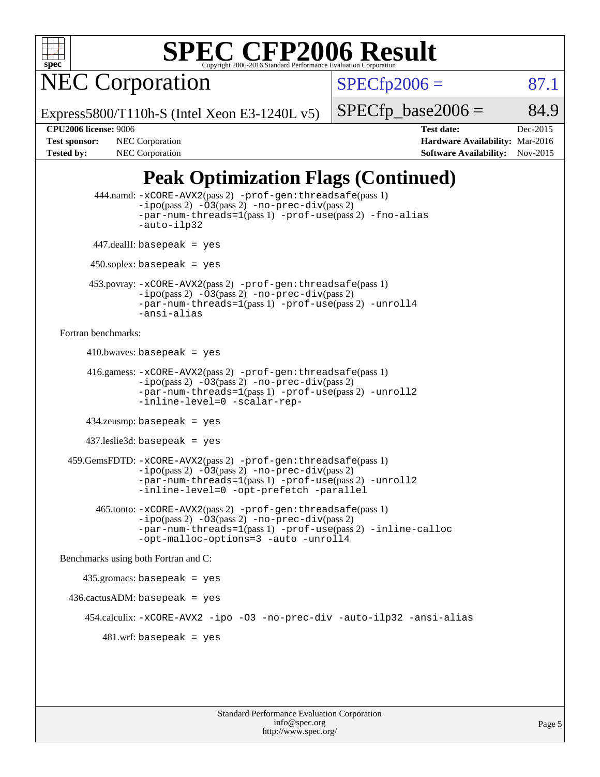

NEC Corporation

 $SPECTp2006 = 87.1$ 

Express5800/T110h-S (Intel Xeon E3-1240L v5)

 $SPECTp\_base2006 = 84.9$ 

**[CPU2006 license:](http://www.spec.org/auto/cpu2006/Docs/result-fields.html#CPU2006license)** 9006 **[Test date:](http://www.spec.org/auto/cpu2006/Docs/result-fields.html#Testdate)** Dec-2015 **[Test sponsor:](http://www.spec.org/auto/cpu2006/Docs/result-fields.html#Testsponsor)** NEC Corporation **NEC Corporation [Hardware Availability:](http://www.spec.org/auto/cpu2006/Docs/result-fields.html#HardwareAvailability)** Mar-2016 [Tested by:](http://www.spec.org/auto/cpu2006/Docs/result-fields.html#Testedby) NEC Corporation **[Software Availability:](http://www.spec.org/auto/cpu2006/Docs/result-fields.html#SoftwareAvailability)** Nov-2015

### **[Peak Optimization Flags \(Continued\)](http://www.spec.org/auto/cpu2006/Docs/result-fields.html#PeakOptimizationFlags)**

```
 444.namd: -xCORE-AVX2(pass 2) -prof-gen:threadsafe(pass 1)
               -ipo(pass 2) -03(pass 2) -no-prec-div(pass 2)
               -par-num-threads=1(pass 1) -prof-use(pass 2) -fno-alias
               -auto-ilp32
      447.dealII: basepeak = yes
       450.soplex: basepeak = yes
      453.povray: -xCORE-AVX2(pass 2) -prof-gen:threadsafe(pass 1)
               -no-prec-div(pass 2)-par-num-threads=1(pass 1) -prof-use(pass 2) -unroll4
               -ansi-alias
Fortran benchmarks: 
     410.bwaves: basepeak = yes 416.gamess: -xCORE-AVX2(pass 2) -prof-gen:threadsafe(pass 1)
               -ipo(pass 2) -03(pass 2) -no-prec-div(pass 2)-par-num-threads=1(pass 1) -prof-use(pass 2) -unroll2
               -inline-level=0 -scalar-rep-
      434.zeusmp: basepeak = yes
      437.leslie3d: basepeak = yes
  459.GemsFDTD: -xCORE-AVX2(pass 2) -prof-gen:threadsafe(pass 1)
               -i\text{po}(pass 2) -\tilde{O}3(pass 2)-no-prec-div(pass 2)
               -par-num-threads=1(pass 1) -prof-use(pass 2) -unroll2
               -inline-level=0 -opt-prefetch -parallel
        465.tonto: -xCORE-AVX2(pass 2) -prof-gen:threadsafe(pass 1)
               -no-prec-div(pass 2)-par-num-threads=1(pass 1) -prof-use(pass 2) -inline-calloc
               -opt-malloc-options=3 -auto -unroll4
Benchmarks using both Fortran and C: 
     435.gromacs: basepeak = yes
  436.cactusADM: basepeak = yes
      454.calculix: -xCORE-AVX2 -ipo -O3 -no-prec-div -auto-ilp32 -ansi-alias
        481 \text{.m}: basepeak = yes
```